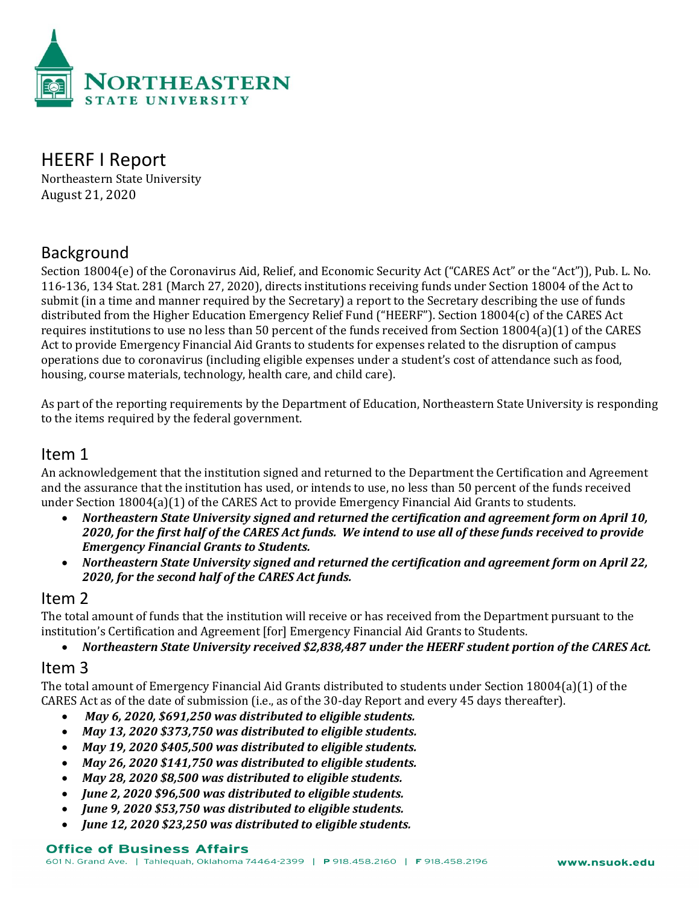

# HEERF I Report

Northeastern State University August 21, 2020

## Background

Section 18004(e) of the Coronavirus Aid, Relief, and Economic Security Act ("CARES Act" or the "Act")), Pub. L. No. 116-136, 134 Stat. 281 (March 27, 2020), directs institutions receiving funds under Section 18004 of the Act to submit (in a time and manner required by the Secretary) a report to the Secretary describing the use of funds distributed from the Higher Education Emergency Relief Fund ("HEERF"). Section 18004(c) of the CARES Act requires institutions to use no less than 50 percent of the funds received from Section 18004(a)(1) of the CARES Act to provide Emergency Financial Aid Grants to students for expenses related to the disruption of campus operations due to coronavirus (including eligible expenses under a student's cost of attendance such as food, housing, course materials, technology, health care, and child care).

As part of the reporting requirements by the Department of Education, Northeastern State University is responding to the items required by the federal government.

## Item 1

An acknowledgement that the institution signed and returned to the Department the Certification and Agreement and the assurance that the institution has used, or intends to use, no less than 50 percent of the funds received under Section 18004(a)(1) of the CARES Act to provide Emergency Financial Aid Grants to students.

- *Northeastern State University signed and returned the certification and agreement form on April 10, 2020, for the first half of the CARES Act funds. We intend to use all of these funds received to provide Emergency Financial Grants to Students.*
- *Northeastern State University signed and returned the certification and agreement form on April 22, 2020, for the second half of the CARES Act funds.*

## Item 2

The total amount of funds that the institution will receive or has received from the Department pursuant to the institution's Certification and Agreement [for] Emergency Financial Aid Grants to Students.

• *Northeastern State University received \$2,838,487 under the HEERF student portion of the CARES Act.*

## Item 3

The total amount of Emergency Financial Aid Grants distributed to students under Section 18004(a)(1) of the CARES Act as of the date of submission (i.e., as of the 30-day Report and every 45 days thereafter).

- *May 6, 2020, \$691,250 was distributed to eligible students.*
- *May 13, 2020 \$373,750 was distributed to eligible students.*
- *May 19, 2020 \$405,500 was distributed to eligible students.*
- *May 26, 2020 \$141,750 was distributed to eligible students.*
- *May 28, 2020 \$8,500 was distributed to eligible students.*
- *June 2, 2020 \$96,500 was distributed to eligible students.*
- *June 9, 2020 \$53,750 was distributed to eligible students.*
- *June 12, 2020 \$23,250 was distributed to eligible students.*

#### **Office of Business Affairs**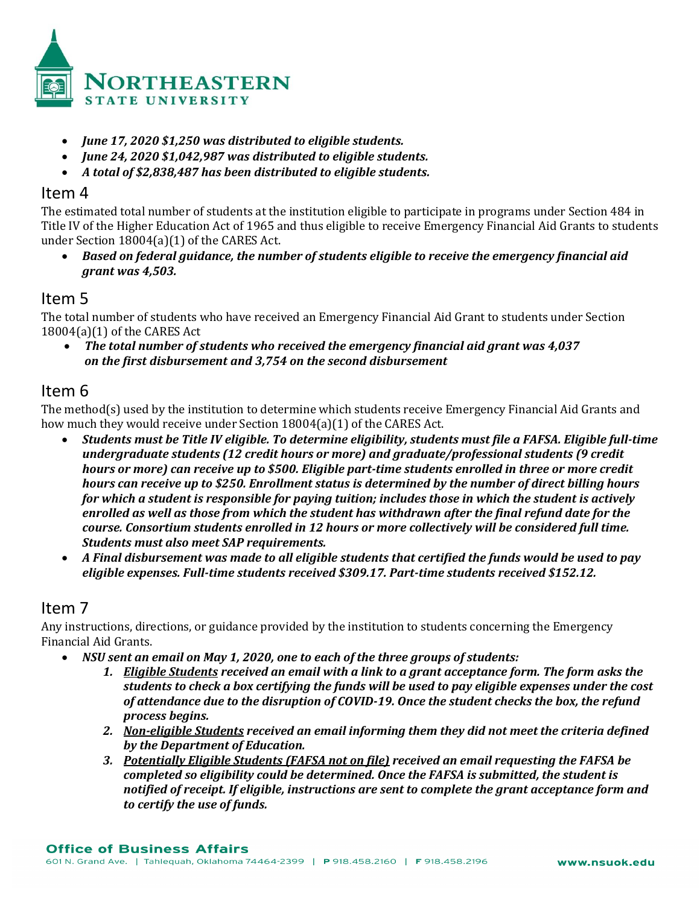

- *June 17, 2020 \$1,250 was distributed to eligible students.*
- *June 24, 2020 \$1,042,987 was distributed to eligible students.*
- *A total of \$2,838,487 has been distributed to eligible students.*

#### Item 4

The estimated total number of students at the institution eligible to participate in programs under Section 484 in Title IV of the Higher Education Act of 1965 and thus eligible to receive Emergency Financial Aid Grants to students under Section 18004(a)(1) of the CARES Act.

• *Based on federal guidance, the number of students eligible to receive the emergency financial aid grant was 4,503.*

#### Item 5

The total number of students who have received an Emergency Financial Aid Grant to students under Section 18004(a)(1) of the CARES Act

• *The total number of students who received the emergency financial aid grant was 4,037 on the first disbursement and 3,754 on the second disbursement*

## Item 6

The method(s) used by the institution to determine which students receive Emergency Financial Aid Grants and how much they would receive under Section 18004(a)(1) of the CARES Act.

- *Students must be Title IV eligible. To determine eligibility, students must file a FAFSA. Eligible full-time undergraduate students (12 credit hours or more) and graduate/professional students (9 credit hours or more) can receive up to \$500. Eligible part-time students enrolled in three or more credit hours can receive up to \$250. Enrollment status is determined by the number of direct billing hours for which a student is responsible for paying tuition; includes those in which the student is actively enrolled as well as those from which the student has withdrawn after the final refund date for the course. Consortium students enrolled in 12 hours or more collectively will be considered full time. Students must also meet SAP requirements.*
- *A Final disbursement was made to all eligible students that certified the funds would be used to pay eligible expenses. Full-time students received \$309.17. Part-time students received \$152.12.*

## Item 7

Any instructions, directions, or guidance provided by the institution to students concerning the Emergency Financial Aid Grants.

- *NSU sent an email on May 1, 2020, one to each of the three groups of students:*
	- *1. Eligible Students received an email with a link to a grant acceptance form. The form asks the students to check a box certifying the funds will be used to pay eligible expenses under the cost of attendance due to the disruption of COVID-19. Once the student checks the box, the refund process begins.*
	- *2. Non-eligible Students received an email informing them they did not meet the criteria defined by the Department of Education.*
	- *3. Potentially Eligible Students (FAFSA not on file) received an email requesting the FAFSA be completed so eligibility could be determined. Once the FAFSA is submitted, the student is notified of receipt. If eligible, instructions are sent to complete the grant acceptance form and to certify the use of funds.*